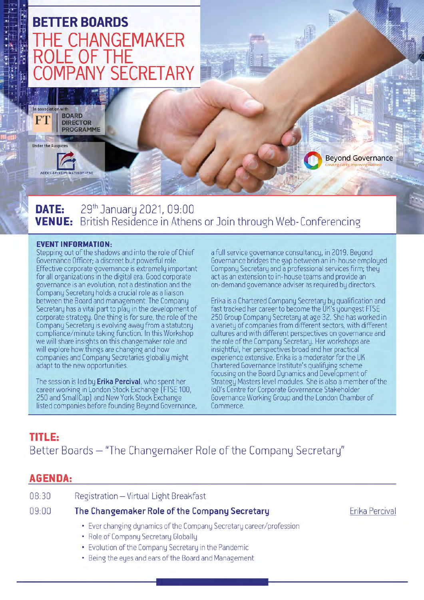

29<sup>th</sup> January 2021, 09:00 DATE: British Residence in Athens or Join through Web-Conferencing **VENUE:** 

#### **EVENT INFORMATION:**

Stepping out of the shadows and into the role of Chief Governance Officer; a discreet but powerful role. Effective corporate governance is extremely important for all organizations in the digital era. Good corporate governance is an evolution, not a destination and the Company Secretary holds a crucial role as a liaison between the Board and management. The Company Secretary has a vital part to play in the development of corporate strategy. One thing is for sure, the role of the Company Secretary is evolving away from a statutory compliance/minute taking function. In this Workshop we will share insights on this changemaker role and will explore how things are changing and how companies and Company Secretaries globally might adapt to the new opportunities.

The session is led by Erika Percival, who spent her career working in London Stock Exchange (FTSE 100, 250 and SmallCap) and New York Stock Exchange listed companies before founding Beyond Governance, a full service governance consultancy, in 2019. Beyond Governance bridges the gap between an in-house employed Company Secretary and a professional services firm; they act as an extension to in-house teams and provide an on-demand governance adviser as required by directors.

Erika is a Chartered Company Secretary by qualification and fast tracked her career to become the UK's youngest FTSE 250 Group Company Secretary at age 32. She has worked in a variety of companies from different sectors, with different cultures and with different perspectives on governance and the role of the Company Secretary. Her workshops are insightful, her perspectives broad and her practical experience extensive. Erika is a moderator for the UK Chartered Governance Institute's qualifying scheme focusing on the Board Dynamics and Development of Strategy Masters level modules. She is also a member of the IoD's Centre for Corporate Governance Stakeholder Governance Working Group and the London Chamber of Commerce.

# **TITLE:** Better Boards - "The Changemaker Role of the Company Secretary"

## **AGENDA:**

| 08:30 | Registration - Virtual Light Breakfast                                                                      |      |
|-------|-------------------------------------------------------------------------------------------------------------|------|
| 09:00 | The Changemaker Role of the Company Secretary                                                               | Erik |
|       | • Ever changing dynamics of the Company Secretary career/profession<br>• Role of Company Secretary Globally |      |

- Evolution of the Company Secretary in the Pandemic
- Being the eyes and ears of the Board and Management

a Percival